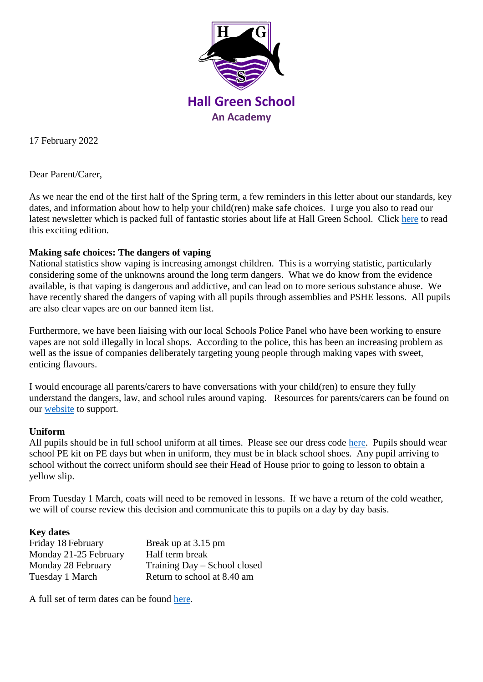

17 February 2022

Dear Parent/Carer,

As we near the end of the first half of the Spring term, a few reminders in this letter about our standards, key dates, and information about how to help your child(ren) make safe choices. I urge you also to read our latest newsletter which is packed full of fantastic stories about life at Hall Green School. Click [here](https://sway.office.com/IbGMsMHi9t8aVU1B?ref=email) to read this exciting edition.

## **Making safe choices: The dangers of vaping**

National statistics show vaping is increasing amongst children. This is a worrying statistic, particularly considering some of the unknowns around the long term dangers. What we do know from the evidence available, is that vaping is dangerous and addictive, and can lead on to more serious substance abuse. We have recently shared the dangers of vaping with all pupils through assemblies and PSHE lessons. All pupils are also clear vapes are on our banned item list.

Furthermore, we have been liaising with our local Schools Police Panel who have been working to ensure vapes are not sold illegally in local shops. According to the police, this has been an increasing problem as well as the issue of companies deliberately targeting young people through making vapes with sweet, enticing flavours.

I would encourage all parents/carers to have conversations with your child(ren) to ensure they fully understand the dangers, law, and school rules around vaping. Resources for parents/carers can be found on our [website](https://www.hallgreen.bham.sch.uk/wellbeing/) to support.

## **Uniform**

All pupils should be in full school uniform at all times. Please see our dress code [here.](https://www.hallgreen.bham.sch.uk/uniform/) Pupils should wear school PE kit on PE days but when in uniform, they must be in black school shoes. Any pupil arriving to school without the correct uniform should see their Head of House prior to going to lesson to obtain a yellow slip.

From Tuesday 1 March, coats will need to be removed in lessons. If we have a return of the cold weather, we will of course review this decision and communicate this to pupils on a day by day basis.

## **Key dates**

| Friday 18 February    | Break up at 3.15 pm          |
|-----------------------|------------------------------|
| Monday 21-25 February | Half term break              |
| Monday 28 February    | Training Day – School closed |
| Tuesday 1 March       | Return to school at 8.40 am  |

A full set of term dates can be found [here.](https://www.hallgreen.bham.sch.uk/term-dates/)